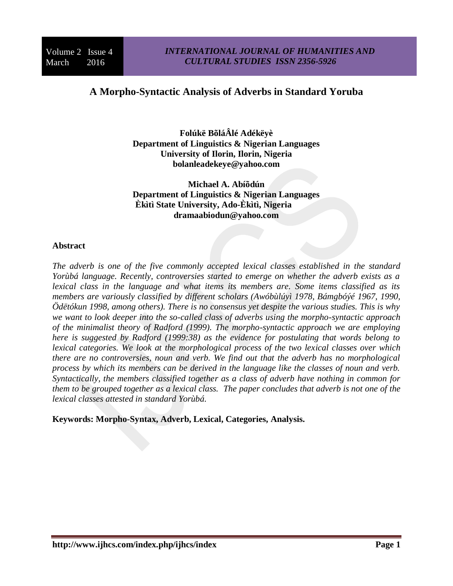# **A Morpho-Syntactic Analysis of Adverbs in Standard Yoruba**

**Folúkë BõláÂlé Adékëyè Department of Linguistics & Nigerian Languages University of Ilorin, Ilorin, Nigeria bolanleadekeye@yahoo.com**

**Michael A. Abíõdún Department of Linguistics & Nigerian Languages Èkìtì State University, Ado-Èkìtì, Nigeria dramaabiodun@yahoo.com**

#### **Abstract**

*The adverb is one of the five commonly accepted lexical classes established in the standard Yorùbá language. Recently, controversies started to emerge on whether the adverb exists as a lexical class in the language and what items its members are. Some items classified as its members are variously classified by different scholars (Awóbùlúyì 1978, Bámgbóýé 1967, 1990, Ödëtókun 1998, among others). There is no consensus yet despite the various studies. This is why we want to look deeper into the so-called class of adverbs using the morpho-syntactic approach of the minimalist theory of Radford (1999). The morpho-syntactic approach we are employing here is suggested by Radford (1999:38) as the evidence for postulating that words belong to lexical categories. We look at the morphological process of the two lexical classes over which there are no controversies, noun and verb. We find out that the adverb has no morphological process by which its members can be derived in the language like the classes of noun and verb. Syntactically, the members classified together as a class of adverb have nothing in common for them to be grouped together as a lexical class. The paper concludes that adverb is not one of the lexical classes attested in standard Yorùbá.*

**Keywords: Morpho-Syntax, Adverb, Lexical, Categories, Analysis.**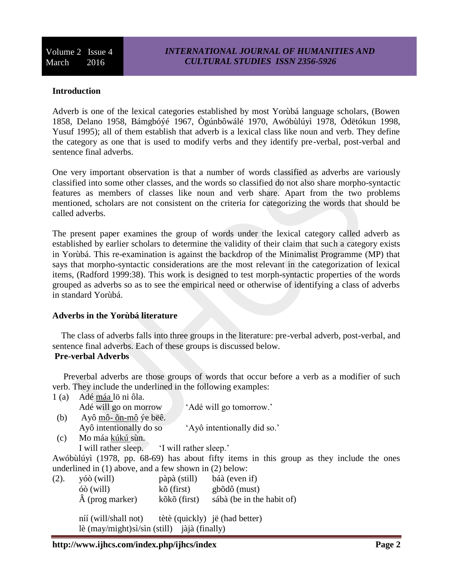#### **Introduction**

Adverb is one of the lexical categories established by most Yorùbá language scholars, (Bowen 1858, Delano 1958, Bámgbóýé 1967, Ògúnbôwálé 1970, Awóbùlúyì 1978, Ödëtókun 1998, Yusuf 1995); all of them establish that adverb is a lexical class like noun and verb. They define the category as one that is used to modify verbs and they identify pre-verbal, post-verbal and sentence final adverbs.

One very important observation is that a number of words classified as adverbs are variously classified into some other classes, and the words so classified do not also share morpho-syntactic features as members of classes like noun and verb share. Apart from the two problems mentioned, scholars are not consistent on the criteria for categorizing the words that should be called adverbs.

The present paper examines the group of words under the lexical category called adverb as established by earlier scholars to determine the validity of their claim that such a category exists in Yorùbá. This re-examination is against the backdrop of the Minimalist Programme (MP) that says that morpho-syntactic considerations are the most relevant in the categorization of lexical items, (Radford 1999:38). This work is designed to test morph-syntactic properties of the words grouped as adverbs so as to see the empirical need or otherwise of identifying a class of adverbs in standard Yorùbá.

#### **Adverbs in the Yorùbá literature**

 The class of adverbs falls into three groups in the literature: pre-verbal adverb, post-verbal, and sentence final adverbs. Each of these groups is discussed below. **Pre-verbal Adverbs**

 Preverbal adverbs are those groups of words that occur before a verb as a modifier of such verb. They include the underlined in the following examples:

|      | Adé máa lö ni ôla. |
|------|--------------------|
|      |                    |
| 1(a) |                    |
|      |                    |

- Adé will go on morrow 'Adé will go tomorrow.' (b) Ayô mô- õn-mô ýe bëê. Ayô intentionally do so 'Ayô intentionally did so.'
- (c) Mo máa kúkú sùn.
	- I will rather sleep. 'I will rather sleep.'
- Awóbùlúyì (1978, pp. 68-69) has about fifty items in this group as they include the ones underlined in (1) above, and a few shown in (2) below:

| (2). | yóò (will)                                            | pàpà (still)                   | báà (even if)             |
|------|-------------------------------------------------------|--------------------------------|---------------------------|
|      | $\ddot{\text{o}}\text{o}$ (will)                      | kõ (first)                     | gbõdô (must)              |
|      | $\hat{A}$ (prog marker)                               | kõkõ (first)                   | sábà (be in the habit of) |
|      |                                                       |                                |                           |
|      | níí (will/shall not)                                  | tètè (quickly) jë (had better) |                           |
|      | lè $(\text{may/might})$ sì/sìn (still) jàjà (finally) |                                |                           |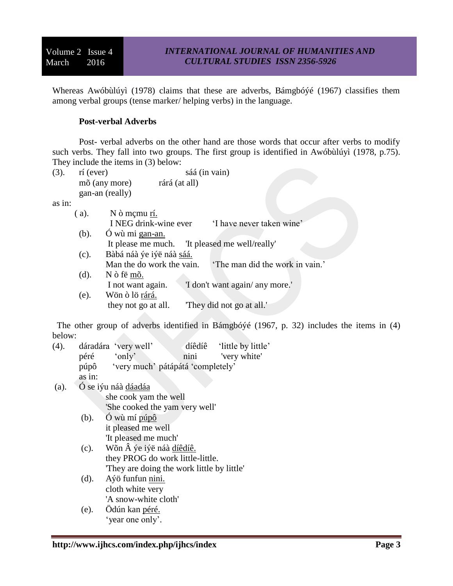Whereas Awóbùlúyì (1978) claims that these are adverbs, Bámgbóýé (1967) classifies them among verbal groups (tense marker/ helping verbs) in the language.

#### **Post-verbal Adverbs**

Post- verbal adverbs on the other hand are those words that occur after verbs to modify such verbs. They fall into two groups. The first group is identified in Awóbùlúyì (1978, p.75). They include the items in (3) below:

(3). rí (ever) sáá (in vain) mõ (any more) rárá (at all) gan-an (really) as in: ( a). N ò mçmu rí. I NEG drink-wine ever 'I have never taken wine' (b). Ó wù mi gan-an. It please me much. 'It pleased me well/really' (c). Bàbá náà ýe iýë náà sáá. Man the do work the vain. The man did the work in vain.' (d). N ò fë mõ. I not want again. 'I don't want again/ any more.' (e). Wön ò lö rárá. they not go at all. 'They did not go at all.'

 The other group of adverbs identified in Bámgbóýé (1967, p. 32) includes the items in (4) below:

| (4). |        | dáradára 'very well'              | díêdíê | 'little by little' |
|------|--------|-----------------------------------|--------|--------------------|
|      | péré   | 'only'                            | nini   | very white'        |
|      | púpô   | 'very much' pátápátá 'completely' |        |                    |
|      | as in: |                                   |        |                    |

- (a). Ó se iýu náà dáadáa she cook yam the well 'She cooked the yam very well'
	- (b). Ó wù mí púpô it pleased me well 'It pleased me much'
	- (c). Wõn  $\hat{A}$  ye iye náà díêdíê. they PROG do work little-little. 'They are doing the work little by little'
	- (d). Aýö funfun nini. cloth white very 'A snow-white cloth'
	- (e). Ödún kan péré. 'year one only'.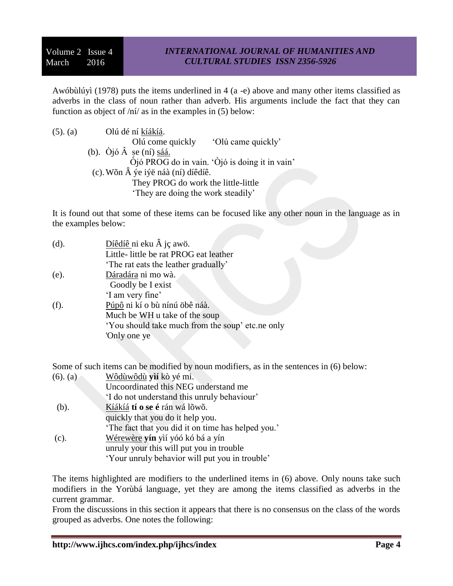Awóbùlúyì (1978) puts the items underlined in 4 (a -e) above and many other items classified as adverbs in the class of noun rather than adverb. His arguments include the fact that they can function as object of  $\pi/$  as in the examples in (5) below:

| $(5)$ . $(a)$ | Olú dé ní kíákíá.                              |
|---------------|------------------------------------------------|
|               | 'Olú came quickly'<br>Olú come quickly         |
|               | (b). $\dot{O}j\dot{o} A$ șe (ní) sáá.          |
|               | Òjó PROG do in vain. 'Òjó is doing it in vain' |
|               | (c). Wõn  ýe iýë náà (ní) díêdíê.              |
|               | They PROG do work the little-little            |
|               | 'They are doing the work steadily'             |

It is found out that some of these items can be focused like any other noun in the language as in the examples below:

| (d). | Díêdíê ni eku  jç awö.                           |  |  |  |
|------|--------------------------------------------------|--|--|--|
|      | Little- little be rat PROG eat leather           |  |  |  |
|      | The rat eats the leather gradually'              |  |  |  |
| (e). | Dáradára ni mo wà.                               |  |  |  |
|      | Goodly be I exist                                |  |  |  |
|      | 'I am very fine'                                 |  |  |  |
| (f). | Púpô ni kí o bù nínú öbê náà.                    |  |  |  |
|      | Much be WH u take of the soup                    |  |  |  |
|      | 'You should take much from the soup' etc.ne only |  |  |  |
|      | 'Only one ye                                     |  |  |  |
|      |                                                  |  |  |  |

Some of such items can be modified by noun modifiers, as in the sentences in (6) below:

| $(6)$ . $(a)$ | Wôdùwôdù yìí kò yé mi.                             |
|---------------|----------------------------------------------------|
|               | Uncoordinated this NEG understand me               |
|               | I do not understand this unruly behaviour'         |
| (b).          | Kíákíá tí o se é rán wá lõwõ.                      |
|               | quickly that you do it help you.                   |
|               | 'The fact that you did it on time has helped you.' |
| $(c)$ .       | Wérewère yín yìí yóó kó bá a yín                   |
|               | unruly your this will put you in trouble           |
|               | 'Your unruly behavior will put you in trouble'     |
|               |                                                    |

The items highlighted are modifiers to the underlined items in (6) above. Only nouns take such modifiers in the Yorùbá language, yet they are among the items classified as adverbs in the current grammar.

From the discussions in this section it appears that there is no consensus on the class of the words grouped as adverbs. One notes the following: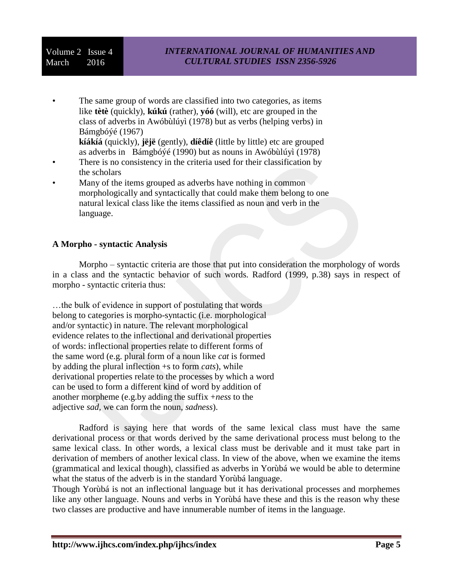# Volume 2 Issue 4 March 2016

The same group of words are classified into two categories, as items like **tètè** (quickly), **kúkú** (rather), **yóó** (will), etc are grouped in the class of adverbs in Awóbùlúyì (1978) but as verbs (helping verbs) in Bámgbóýé (1967)

**kíákíá** (quickly), **jëjë** (gently), **díêdíê** (little by little) etc are grouped as adverbs in Bámgbóýé (1990) but as nouns in Awóbùlúyì (1978)

- There is no consistency in the criteria used for their classification by the scholars
- Many of the items grouped as adverbs have nothing in common morphologically and syntactically that could make them belong to one natural lexical class like the items classified as noun and verb in the language.

#### **A Morpho - syntactic Analysis**

Morpho – syntactic criteria are those that put into consideration the morphology of words in a class and the syntactic behavior of such words. Radford (1999, p.38) says in respect of morpho - syntactic criteria thus:

…the bulk of evidence in support of postulating that words belong to categories is morpho-syntactic (i.e. morphological and/or syntactic) in nature. The relevant morphological evidence relates to the inflectional and derivational properties of words: inflectional properties relate to different forms of the same word (e.g. plural form of a noun like *cat* is formed by adding the plural inflection +s to form *cats*), while derivational properties relate to the processes by which a word can be used to form a different kind of word by addition of another morpheme (e.g.by adding the suffix +*ness* to the adjective *sad,* we can form the noun, *sadness*).

Radford is saying here that words of the same lexical class must have the same derivational process or that words derived by the same derivational process must belong to the same lexical class. In other words, a lexical class must be derivable and it must take part in derivation of members of another lexical class. In view of the above, when we examine the items (grammatical and lexical though), classified as adverbs in Yorùbá we would be able to determine what the status of the adverb is in the standard Yorùbá language.

Though Yorùbá is not an inflectional language but it has derivational processes and morphemes like any other language. Nouns and verbs in Yorùbá have these and this is the reason why these two classes are productive and have innumerable number of items in the language.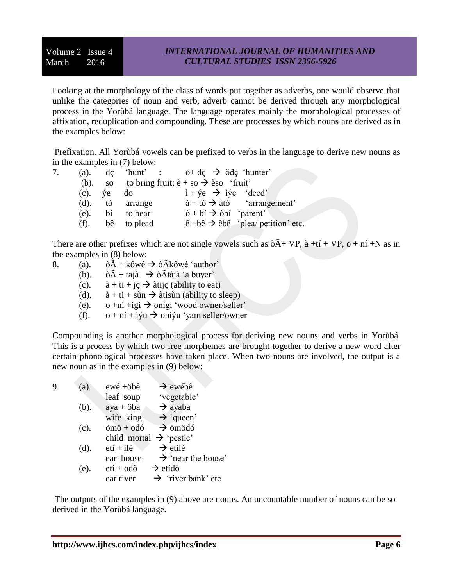Looking at the morphology of the class of words put together as adverbs, one would observe that unlike the categories of noun and verb, adverb cannot be derived through any morphological process in the Yorùbá language. The language operates mainly the morphological processes of affixation, reduplication and compounding. These are processes by which nouns are derived as in the examples below:

Prefixation. All Yorùbá vowels can be prefixed to verbs in the language to derive new nouns as in the examples in (7) below:

| (a). |                        |                     | $dc$ 'hunt' : $\ddot{o} + dc$ $\rightarrow$ $\ddot{o}dc$ 'hunter'                         |
|------|------------------------|---------------------|-------------------------------------------------------------------------------------------|
|      |                        |                     | (b). so to bring fruit: $\hat{e} + s_0 \rightarrow \hat{e}$ fruit'                        |
|      | $(c)$ , $\forall e$ do |                     | $i + \gamma e \rightarrow i \gamma e$ 'deed'                                              |
|      |                        | $(d)$ , tò arrange  | $\dot{a} + t\dot{\sigma} \rightarrow \dot{a}t\dot{\sigma}$ 'arrangement'                  |
|      |                        | $(e)$ . bí to bear  | $\delta + b$ í $\rightarrow$ $\delta b$ í 'parent'                                        |
|      |                        | $(f)$ . bê to plead | $\hat{e}$ +b $\hat{e}$ $\rightarrow$ $\hat{e}$ b $\hat{e}$ $\hat{e}$ plea/ petition' etc. |

There are other prefixes which are not single vowels such as  $\delta \tilde{A}$  + VP,  $\tilde{a}$  +tí + VP,  $o$  + ní +N as in the examples in (8) below:

- 8. (a).  $\delta \tilde{A} + k \delta w \notin \mathcal{A}$   $\delta \tilde{A}$ kôwé 'author'
	- (b).  $\delta \tilde{A} + \text{ta} \tilde{a} \rightarrow \delta \tilde{A} \text{ta} \tilde{a}$  'a buyer'
	- (c).  $\dot{a} + t\dot{i} + \dot{j}c \rightarrow \dot{a}t\dot{i}j\dot{c}$  (ability to eat)
	- (d).  $\hat{a} + t\hat{i} + \hat{s}\hat{i}$   $\Rightarrow$   $\hat{a}$ tisùn (ability to sleep)
	- (e).  $o + n$ í +igi  $\rightarrow$  onígi 'wood owner/seller'
	- (f).  $o + n\mathbf{i} + i\mathbf{j}u \rightarrow on\mathbf{i}\mathbf{j}u$  'yam seller/owner

Compounding is another morphological process for deriving new nouns and verbs in Yorùbá. This is a process by which two free morphemes are brought together to derive a new word after certain phonological processes have taken place. When two nouns are involved, the output is a new noun as in the examples in (9) below:

| 9. | (a). | $ewé + \ddot{\text{o}}b\hat{\text{e}}$ | $\rightarrow$ ewébê            |
|----|------|----------------------------------------|--------------------------------|
|    |      | leaf soup                              | 'vegetable'                    |
|    | (b). | $aya + 6ba$                            | $\rightarrow$ ayaba            |
|    |      | wife king                              | $\rightarrow$ 'queen'          |
|    | (c). | $\ddot{\text{o}}$ mö + $\text{o}$ dó   | $\rightarrow$ ömödó            |
|    |      | child mortal                           | $\rightarrow$ 'pestle'         |
|    | (d). | $eti + ilé$                            | $\rightarrow$ etílé            |
|    |      | ear house                              | $\rightarrow$ 'near the house' |
|    | (e). | $etf + o d\delta$                      | $\rightarrow$ etídò            |
|    |      | ear river                              | $\rightarrow$ 'river bank' etc |
|    |      |                                        |                                |

The outputs of the examples in (9) above are nouns. An uncountable number of nouns can be so derived in the Yorùbá language.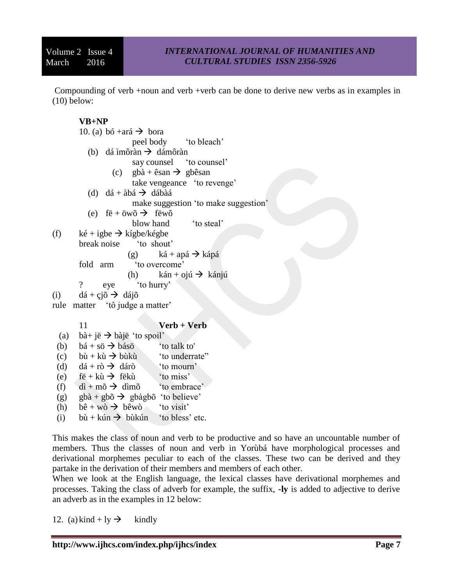Compounding of verb +noun and verb +verb can be done to derive new verbs as in examples in (10) below:

# **VB+NP**

10. (a) bó +ará  $\rightarrow$  bora peel body 'to bleach' (b) dá ìmôràn  $\rightarrow$  dámôràn say counsel to counsel' (c) gbà + êsan  $\rightarrow$  gbêsan take vengeance 'to revenge' (d) dá + àbá  $\rightarrow$  dábàá make suggestion 'to make suggestion' (e) fë + öwõ  $\rightarrow$  fëwõ blow hand 'to steal' (f)  $k \notin \text{type } \rightarrow \text{kígbe}/\text{kégbe}$ break noise 'to shout' (g)  $k\acute{a} + ap\acute{a} \rightarrow k\acute{a}p\acute{a}$ fold arm 'to overcome' (h) kán + ojú  $\rightarrow$  kánjú ? eye 'to hurry' (i)  $d\acute{a} + c\acute{a}\acute{o} \rightarrow d\acute{a}i\acute{o}$ rule matter 'tô judge a matter' 11 **Verb + Verb** (a) bà+ jë  $\rightarrow$  bàjë 'to spoil' (b)  $b\acute{a} + s\ddot{o} \rightarrow b\acute{a}s\ddot{o}$  'to talk to' (c) bù + kù  $\rightarrow$  bùkù 'to underrate" (d)  $d\acute{a} + r\grave{o} \rightarrow d\acute{a}r\grave{o}$  'to mourn' (e)  $f\ddot{e} + k\dot{u} \rightarrow f\ddot{e}k\dot{u}$  'to miss' (f) dì + mõ  $\rightarrow$  dìmõ 'to embrace'

- (g) gbà + gbõ  $\rightarrow$  gbàgbõ 'to believe'
- (h)  $b\hat{e} + w\hat{o} \rightarrow b\hat{e}w\hat{o}$  'to visit'
- (i) bù + kún  $\rightarrow$  bùkún 'to bless' etc.

This makes the class of noun and verb to be productive and so have an uncountable number of members. Thus the classes of noun and verb in Yorùbá have morphological processes and derivational morphemes peculiar to each of the classes. These two can be derived and they partake in the derivation of their members and members of each other.

When we look at the English language, the lexical classes have derivational morphemes and processes. Taking the class of adverb for example, the suffix, **-ly** is added to adjective to derive an adverb as in the examples in 12 below:

12. (a) kind + ly  $\rightarrow$  kindly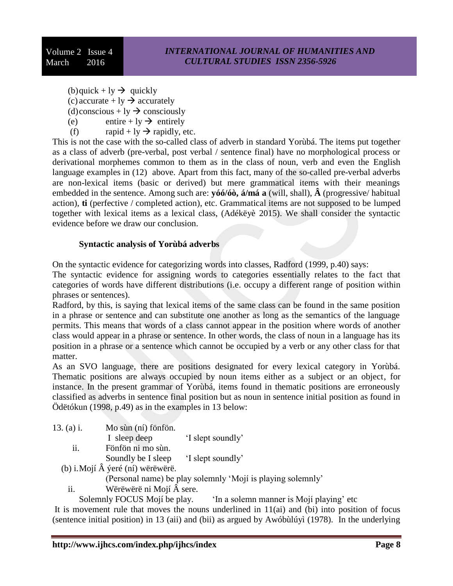(b)quick + ly  $\rightarrow$  quickly

(c) accurate + ly  $\rightarrow$  accurately

- (d)conscious + ly  $\rightarrow$  consciously
- (e) entire + ly  $\rightarrow$  entirely
- (f) rapid + ly  $\rightarrow$  rapidly, etc.

This is not the case with the so-called class of adverb in standard Yorùbá. The items put together as a class of adverb (pre-verbal, post verbal / sentence final) have no morphological process or derivational morphemes common to them as in the class of noun, verb and even the English language examples in (12) above. Apart from this fact, many of the so-called pre-verbal adverbs are non-lexical items (basic or derived) but mere grammatical items with their meanings embedded in the sentence. Among such are: **yóó/óò, á/má a** (will, shall), **Â** (progressive/ habitual action), **ti** (perfective / completed action), etc. Grammatical items are not supposed to be lumped together with lexical items as a lexical class, (Adékëyè 2015). We shall consider the syntactic evidence before we draw our conclusion.

## **Syntactic analysis of Yorùbá adverbs**

On the syntactic evidence for categorizing words into classes, Radford (1999, p.40) says:

The syntactic evidence for assigning words to categories essentially relates to the fact that categories of words have different distributions (i.e. occupy a different range of position within phrases or sentences).

Radford, by this, is saying that lexical items of the same class can be found in the same position in a phrase or sentence and can substitute one another as long as the semantics of the language permits. This means that words of a class cannot appear in the position where words of another class would appear in a phrase or sentence. In other words, the class of noun in a language has its position in a phrase or a sentence which cannot be occupied by a verb or any other class for that matter.

As an SVO language, there are positions designated for every lexical category in Yorùbá. Thematic positions are always occupied by noun items either as a subject or an object, for instance. In the present grammar of Yorùbá, items found in thematic positions are erroneously classified as adverbs in sentence final position but as noun in sentence initial position as found in Ödëtókun (1998, p.49) as in the examples in 13 below:

- 13. (a) i. Mo sùn (ní) fönfön. I sleep deep 'I slept soundly' ii. Fönfön ni mo sùn.
	- Soundly be I sleep 'I slept soundly'
	- (b) i.Mojí Â ýeré (ní) wërëwërë.

(Personal name) be play solemnly 'Mojí is playing solemnly'

ii. Wërëwërë ni Mojí Â sere.

Solemnly FOCUS Mojí be play. 'In a solemn manner is Mojí playing' etc

It is movement rule that moves the nouns underlined in 11(ai) and (bi) into position of focus (sentence initial position) in 13 (aii) and (bii) as argued by Awóbùlúyì (1978). In the underlying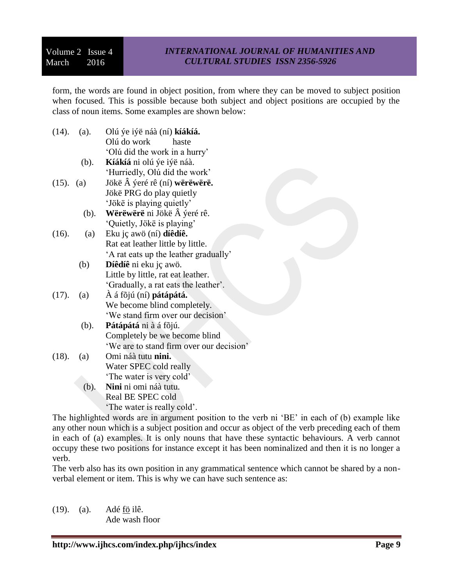## *INTERNATIONAL JOURNAL OF HUMANITIES AND CULTURAL STUDIES ISSN 2356-5926*

form, the words are found in object position, from where they can be moved to subject position when focused. This is possible because both subject and object positions are occupied by the class of noun items. Some examples are shown below:

- (14). (a). Olú ýe iýë náà (ní) **kíákíá.** Olú do work haste 'Olú did the work in a hurry' (b). **Kíákíá** ni olú ýe iýë náà. 'Hurriedly, Olú did the work' (15). (a) Jökë Â ýeré rê (ní) **wërëwërë.** Jökë PRG do play quietly 'Jökë is playing quietly' (b). **Wërëwërë** ni Jökë Â ýeré rê. 'Quietly, Jökë is playing' (16). (a) Eku jç awö (ní) **díêdíê.** Rat eat leather little by little. 'A rat eats up the leather gradually' (b) **Díêdíê** ni eku jç awö. Little by little, rat eat leather. 'Gradually, a rat eats the leather'. (17). (a) À á fõjú (ní) **pátápátá.** We become blind completely. 'We stand firm over our decision' (b). **Pátápátá** ni à á fõjú. Completely be we become blind 'We are to stand firm over our decision' (18). (a) Omi náà tutu **nini.** Water SPEC cold really 'The water is very cold' (b). **Nini** ni omi náà tutu. Real BE SPEC cold
	- 'The water is really cold'.

The highlighted words are in argument position to the verb ni 'BE' in each of (b) example like any other noun which is a subject position and occur as object of the verb preceding each of them in each of (a) examples. It is only nouns that have these syntactic behaviours. A verb cannot occupy these two positions for instance except it has been nominalized and then it is no longer a verb.

The verb also has its own position in any grammatical sentence which cannot be shared by a nonverbal element or item. This is why we can have such sentence as:

(19). (a). Adé fö ilê. Ade wash floor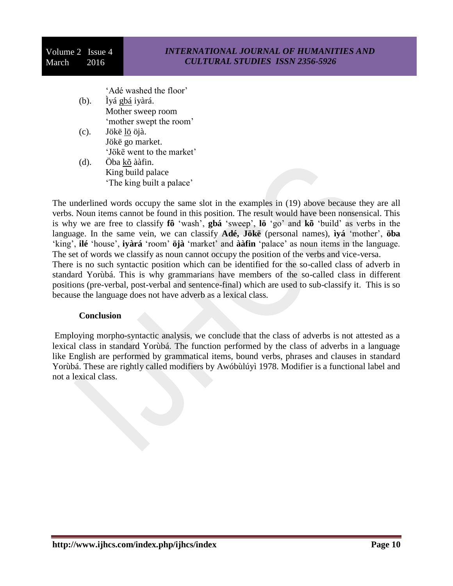'Adé washed the floor'

- (b). Ìyá gbá iyàrá. Mother sweep room 'mother swept the room'
- (c). Jökë lö öjà. Jökë go market. 'Jökë went to the market'
- (d). Öba kõ ààfin. King build palace 'The king built a palace'

The underlined words occupy the same slot in the examples in (19) above because they are all verbs. Noun items cannot be found in this position. The result would have been nonsensical. This is why we are free to classify **fô** 'wash', **gbá** 'sweep', **lö** 'go' and **kõ** 'build' as verbs in the language. In the same vein, we can classify **Adé, Jökë** (personal names), **ìyá** 'mother', **öba** 'king', **ilé** 'house', **iyàrá** 'room' **öjà** 'market' and **ààfin** 'palace' as noun items in the language. The set of words we classify as noun cannot occupy the position of the verbs and vice-versa. There is no such syntactic position which can be identified for the so-called class of adverb in standard Yorùbá. This is why grammarians have members of the so-called class in different positions (pre-verbal, post-verbal and sentence-final) which are used to sub-classify it. This is so because the language does not have adverb as a lexical class.

## **Conclusion**

Employing morpho-syntactic analysis, we conclude that the class of adverbs is not attested as a lexical class in standard Yorùbá. The function performed by the class of adverbs in a language like English are performed by grammatical items, bound verbs, phrases and clauses in standard Yorùbá. These are rightly called modifiers by Awóbùlúyì 1978. Modifier is a functional label and not a lexical class.